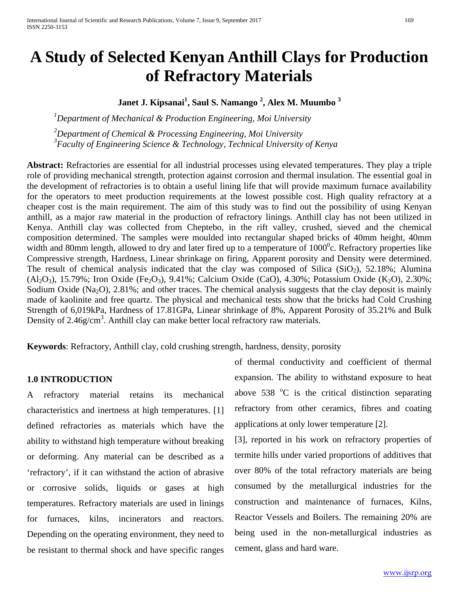# **A Study of Selected Kenyan Anthill Clays for Production of Refractory Materials**

### **Janet J. Kipsanai<sup>1</sup> , Saul S. Namango 2 , Alex M. Muumbo 3**

 *1 Department of Mechanical & Production Engineering, Moi University*

*2 Department of Chemical & Processing Engineering, Moi University 3 Faculty of Engineering Science & Technology, Technical University of Kenya*

**Abstract:** Refractories are essential for all industrial processes using elevated temperatures. They play a triple role of providing mechanical strength, protection against corrosion and thermal insulation. The essential goal in the development of refractories is to obtain a useful lining life that will provide maximum furnace availability for the operators to meet production requirements at the lowest possible cost. High quality refractory at a cheaper cost is the main requirement. The aim of this study was to find out the possibility of using Kenyan anthill, as a major raw material in the production of refractory linings. Anthill clay has not been utilized in Kenya. Anthill clay was collected from Cheptebo, in the rift valley, crushed, sieved and the chemical composition determined. The samples were moulded into rectangular shaped bricks of 40mm height, 40mm width and 80mm length, allowed to dry and later fired up to a temperature of  $1000^{\circ}$ c. Refractory properties like Compressive strength, Hardness, Linear shrinkage on firing, Apparent porosity and Density were determined. The result of chemical analysis indicated that the clay was composed of Silica (SiO<sub>2</sub>), 52.18%; Alumina  $(Al_2O_3)$ , 15.79%; Iron Oxide (Fe<sub>2</sub>O<sub>3</sub>), 9.41%; Calcium Oxide (CaO), 4.30%; Potassium Oxide (K<sub>2</sub>O), 2.30%; Sodium Oxide (Na<sub>2</sub>O), 2.81%; and other traces. The chemical analysis suggests that the clay deposit is mainly made of kaolinite and free quartz. The physical and mechanical tests show that the bricks had Cold Crushing Strength of 6,019kPa, Hardness of 17.81GPa, Linear shrinkage of 8%, Apparent Porosity of 35.21% and Bulk Density of 2.46g/cm<sup>3</sup>. Anthill clay can make better local refractory raw materials.

**Keywords**: Refractory, Anthill clay, cold crushing strength, hardness, density, porosity

#### **1.0 INTRODUCTION**

A refractory material retains its mechanical characteristics and inertness at high temperatures. [1] defined refractories as materials which have the ability to withstand high temperature without breaking or deforming. Any material can be described as a 'refractory', if it can withstand the action of abrasive or corrosive solids, liquids or gases at high temperatures. Refractory materials are used in linings for furnaces, kilns, incinerators and reactors. Depending on the operating environment, they need to be resistant to thermal shock and have specific ranges of thermal conductivity and coefficient of thermal expansion. The ability to withstand exposure to heat above  $538$  °C is the critical distinction separating refractory from other ceramics, fibres and coating applications at only lower temperature [2].

[3], reported in his work on refractory properties of termite hills under varied proportions of additives that over 80% of the total refractory materials are being consumed by the metallurgical industries for the construction and maintenance of furnaces, Kilns, Reactor Vessels and Boilers. The remaining 20% are being used in the non-metallurgical industries as cement, glass and hard ware.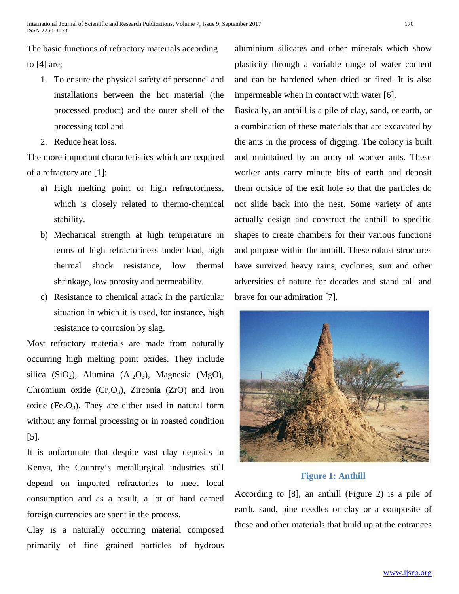The basic functions of refractory materials according to [4] are;

- 1. To ensure the physical safety of personnel and installations between the hot material (the processed product) and the outer shell of the processing tool and
- 2. Reduce heat loss.

The more important characteristics which are required of a refractory are [1]:

- a) High melting point or high refractoriness, which is closely related to thermo-chemical stability.
- b) Mechanical strength at high temperature in terms of high refractoriness under load, high thermal shock resistance, low thermal shrinkage, low porosity and permeability.
- c) Resistance to chemical attack in the particular situation in which it is used, for instance, high resistance to corrosion by slag.

Most refractory materials are made from naturally occurring high melting point oxides. They include silica (SiO<sub>2</sub>), Alumina (Al<sub>2</sub>O<sub>3</sub>), Magnesia (MgO), Chromium oxide  $(Cr_2O_3)$ , Zirconia (ZrO) and iron oxide (Fe<sub>2</sub>O<sub>3</sub>). They are either used in natural form without any formal processing or in roasted condition [5].

It is unfortunate that despite vast clay deposits in Kenya, the Country's metallurgical industries still depend on imported refractories to meet local consumption and as a result, a lot of hard earned foreign currencies are spent in the process.

Clay is a naturally occurring material composed primarily of fine grained particles of hydrous aluminium silicates and other minerals which show plasticity through a variable range of water content and can be hardened when dried or fired. It is also impermeable when in contact with water [6].

Basically, an anthill is a pile of clay, sand, or earth, or a combination of these materials that are excavated by the ants in the process of digging. The colony is built and maintained by an army of worker ants. These worker ants carry minute bits of earth and deposit them outside of the exit hole so that the particles do not slide back into the nest. Some variety of ants actually design and construct the anthill to specific shapes to create chambers for their various functions and purpose within the anthill. These robust structures have survived heavy rains, cyclones, sun and other adversities of nature for decades and stand tall and brave for our admiration [7].



**Figure 1: Anthill**

According to [8], an anthill (Figure 2) is a pile of earth, sand, pine needles or clay or a composite of these and other materials that build up at the entrances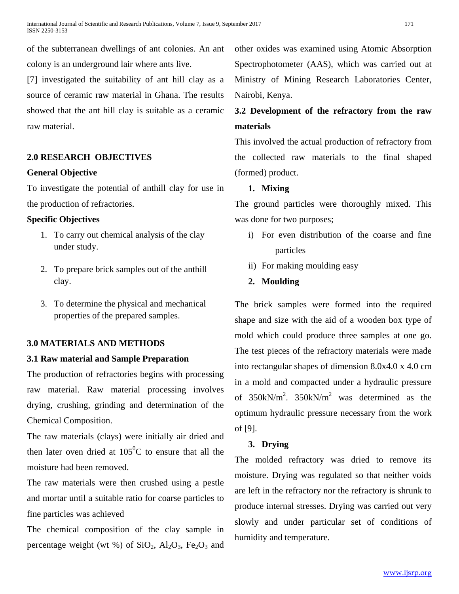of the subterranean dwellings of ant colonies. An ant colony is an underground lair where ants live.

[7] investigated the suitability of ant hill clay as a source of ceramic raw material in Ghana. The results showed that the ant hill clay is suitable as a ceramic raw material.

### **2.0 RESEARCH OBJECTIVES**

### **General Objective**

To investigate the potential of anthill clay for use in the production of refractories.

### **Specific Objectives**

- 1. To carry out chemical analysis of the clay under study.
- 2. To prepare brick samples out of the anthill clay.
- 3. To determine the physical and mechanical properties of the prepared samples.

### **3.0 MATERIALS AND METHODS**

### **3.1 Raw material and Sample Preparation**

The production of refractories begins with processing raw material. Raw material processing involves drying, crushing, grinding and determination of the Chemical Composition.

The raw materials (clays) were initially air dried and then later oven dried at  $105^{\circ}$ C to ensure that all the moisture had been removed.

The raw materials were then crushed using a pestle and mortar until a suitable ratio for coarse particles to fine particles was achieved

The chemical composition of the clay sample in percentage weight (wt %) of  $SiO<sub>2</sub>$ ,  $Al<sub>2</sub>O<sub>3</sub>$ ,  $Fe<sub>2</sub>O<sub>3</sub>$  and other oxides was examined using Atomic Absorption Spectrophotometer (AAS), which was carried out at Ministry of Mining Research Laboratories Center, Nairobi, Kenya.

## **3.2 Development of the refractory from the raw materials**

This involved the actual production of refractory from the collected raw materials to the final shaped (formed) product.

### **1. Mixing**

The ground particles were thoroughly mixed. This was done for two purposes;

- i) For even distribution of the coarse and fine particles
- ii) For making moulding easy

### **2. Moulding**

The brick samples were formed into the required shape and size with the aid of a wooden box type of mold which could produce three samples at one go. The test pieces of the refractory materials were made into rectangular shapes of dimension 8.0x4.0 x 4.0 cm in a mold and compacted under a hydraulic pressure of  $350kN/m^2$ .  $350kN/m^2$  was determined as the optimum hydraulic pressure necessary from the work of [9].

### **3. Drying**

The molded refractory was dried to remove its moisture. Drying was regulated so that neither voids are left in the refractory nor the refractory is shrunk to produce internal stresses. Drying was carried out very slowly and under particular set of conditions of humidity and temperature.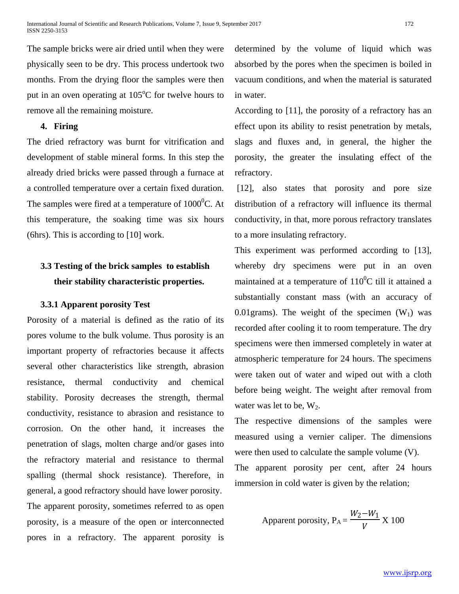The sample bricks were air dried until when they were physically seen to be dry. This process undertook two months. From the drying floor the samples were then put in an oven operating at  $105^{\circ}$ C for twelve hours to remove all the remaining moisture.

### **4. Firing**

The dried refractory was burnt for vitrification and development of stable mineral forms. In this step the already dried bricks were passed through a furnace at a controlled temperature over a certain fixed duration. The samples were fired at a temperature of  $1000^0C$ . At this temperature, the soaking time was six hours (6hrs). This is according to [10] work.

## **3.3 Testing of the brick samples to establish their stability characteristic properties.**

### **3.3.1 Apparent porosity Test**

Porosity of a material is defined as the ratio of its pores volume to the bulk volume. Thus porosity is an important property of refractories because it affects several other characteristics like strength, abrasion resistance, thermal conductivity and chemical stability. Porosity decreases the strength, thermal conductivity, resistance to abrasion and resistance to corrosion. On the other hand, it increases the penetration of slags, molten charge and/or gases into the refractory material and resistance to thermal spalling (thermal shock resistance). Therefore, in general, a good refractory should have lower porosity. The apparent porosity, sometimes referred to as open porosity, is a measure of the open or interconnected pores in a refractory. The apparent porosity is determined by the volume of liquid which was absorbed by the pores when the specimen is boiled in vacuum conditions, and when the material is saturated in water.

According to [11], the porosity of a refractory has an effect upon its ability to resist penetration by metals, slags and fluxes and, in general, the higher the porosity, the greater the insulating effect of the refractory.

[12], also states that porosity and pore size distribution of a refractory will influence its thermal conductivity, in that, more porous refractory translates to a more insulating refractory.

This experiment was performed according to [13], whereby dry specimens were put in an oven maintained at a temperature of  $110^0C$  till it attained a substantially constant mass (with an accuracy of 0.01 grams). The weight of the specimen  $(W_1)$  was recorded after cooling it to room temperature. The dry specimens were then immersed completely in water at atmospheric temperature for 24 hours. The specimens were taken out of water and wiped out with a cloth before being weight. The weight after removal from water was let to be,  $W_2$ .

The respective dimensions of the samples were measured using a vernier caliper. The dimensions were then used to calculate the sample volume (V).

The apparent porosity per cent, after 24 hours immersion in cold water is given by the relation;

Apparent porosity, 
$$
P_A = \frac{W_2 - W_1}{V} X 100
$$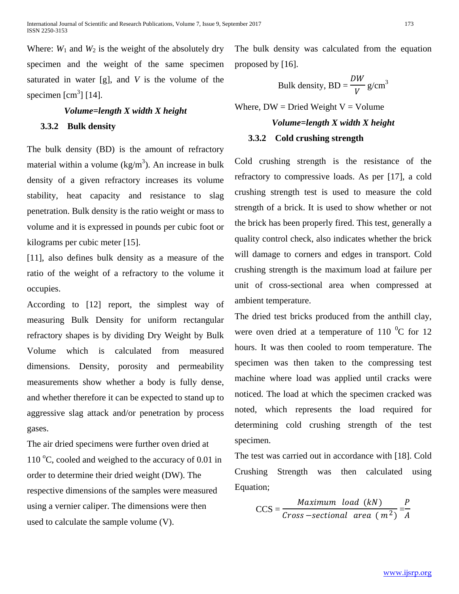Where:  $W_1$  and  $W_2$  is the weight of the absolutely dry specimen and the weight of the same specimen saturated in water [g], and *V* is the volume of the specimen  $\text{[cm}^3\text{]}$  [14].

## *Volume=length X width X height* **3.3.2 Bulk density**

The bulk density (BD) is the amount of refractory material within a volume  $(kg/m<sup>3</sup>)$ . An increase in bulk density of a given refractory increases its volume stability, heat capacity and resistance to slag penetration. Bulk density is the ratio weight or mass to volume and it is expressed in pounds per cubic foot or kilograms per cubic meter [15].

[11], also defines bulk density as a measure of the ratio of the weight of a refractory to the volume it occupies.

According to [12] report, the simplest way of measuring Bulk Density for uniform rectangular refractory shapes is by dividing Dry Weight by Bulk Volume which is calculated from measured dimensions. Density, porosity and permeability measurements show whether a body is fully dense, and whether therefore it can be expected to stand up to aggressive slag attack and/or penetration by process gases.

The air dried specimens were further oven dried at 110 °C, cooled and weighed to the accuracy of 0.01 in order to determine their dried weight (DW). The respective dimensions of the samples were measured using a vernier caliper. The dimensions were then used to calculate the sample volume (V).

The bulk density was calculated from the equation proposed by [16].

Bulk density, BD = 
$$
\frac{DW}{V}
$$
 g/cm<sup>3</sup>

Where,  $DW = Dried Weight V = Volume$ 

# *Volume=length X width X height*

### **3.3.2 Cold crushing strength**

Cold crushing strength is the resistance of the refractory to compressive loads. As per [17], a cold crushing strength test is used to measure the cold strength of a brick. It is used to show whether or not the brick has been properly fired. This test, generally a quality control check, also indicates whether the brick will damage to corners and edges in transport. Cold crushing strength is the maximum load at failure per unit of cross-sectional area when compressed at ambient temperature.

The dried test bricks produced from the anthill clay, were oven dried at a temperature of 110  $^0C$  for 12 hours. It was then cooled to room temperature. The specimen was then taken to the compressing test machine where load was applied until cracks were noticed. The load at which the specimen cracked was noted, which represents the load required for determining cold crushing strength of the test specimen.

The test was carried out in accordance with [18]. Cold Crushing Strength was then calculated using Equation;

$$
CCS = \frac{Maximum \ load \ (kN)}{Cross-sectional \ area \ (m^2)} = \frac{P}{A}
$$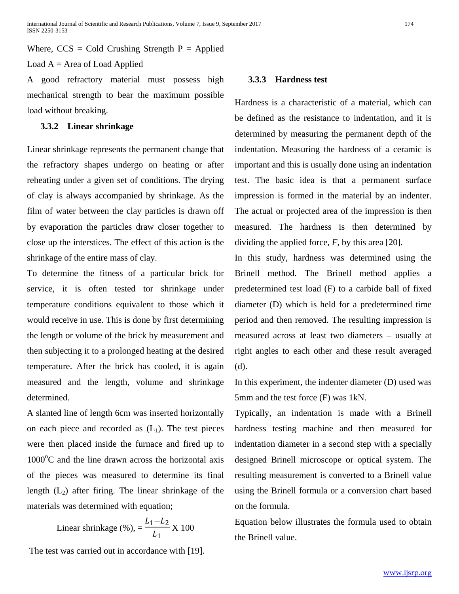Where,  $CCS = Cold$  Crushing Strength  $P = Applied$ Load  $A = Area$  of Load Applied

A good refractory material must possess high mechanical strength to bear the maximum possible load without breaking.

### **3.3.2 Linear shrinkage**

Linear shrinkage represents the permanent change that the refractory shapes undergo on heating or after reheating under a given set of conditions. The drying of clay is always accompanied by shrinkage. As the film of water between the clay particles is drawn off by evaporation the particles draw closer together to close up the interstices. The effect of this action is the shrinkage of the entire mass of clay.

To determine the fitness of a particular brick for service, it is often tested tor shrinkage under temperature conditions equivalent to those which it would receive in use. This is done by first determining the length or volume of the brick by measurement and then subjecting it to a prolonged heating at the desired temperature. After the brick has cooled, it is again measured and the length, volume and shrinkage determined.

A slanted line of length 6cm was inserted horizontally on each piece and recorded as  $(L_1)$ . The test pieces were then placed inside the furnace and fired up to 1000°C and the line drawn across the horizontal axis of the pieces was measured to determine its final length  $(L_2)$  after firing. The linear shrinkage of the materials was determined with equation;

Linear shrinkage (%), 
$$
=
$$
  $\frac{L_1 - L_2}{L_1}$  X 100

The test was carried out in accordance with [19].

### **3.3.3 Hardness test**

Hardness is a characteristic of a material, which can be defined as the resistance to indentation, and it is determined by measuring the permanent depth of the indentation. Measuring the hardness of a ceramic is important and this is usually done using an indentation test. The basic idea is that a permanent surface impression is formed in the material by an indenter. The actual or projected area of the impression is then measured. The hardness is then determined by dividing the applied force, *F*, by this area [20].

In this study, hardness was determined using the Brinell method. The Brinell method applies a predetermined test load (F) to a carbide ball of fixed diameter (D) which is held for a predetermined time period and then removed. The resulting impression is measured across at least two diameters – usually at right angles to each other and these result averaged (d).

In this experiment, the indenter diameter (D) used was 5mm and the test force (F) was 1kN.

Typically, an indentation is made with a Brinell hardness testing machine and then measured for indentation diameter in a second step with a specially designed Brinell microscope or optical system. The resulting measurement is converted to a Brinell value using the Brinell formula or a conversion chart based on the formula.

Equation below illustrates the formula used to obtain the Brinell value.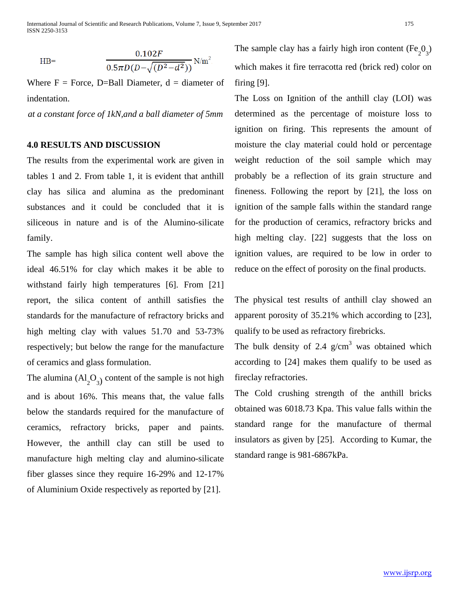International Journal of Scientific and Research Publications, Volume 7, Issue 9, September 2017 175 ISSN 2250-3153

$$
HB = \frac{0.102F}{0.5\pi D(D - \sqrt{(D^2 - d^2)})} N/m^2
$$

Where  $F = Force$ , D=Ball Diameter,  $d = diameter$  of indentation.

*at a constant force of 1kN,and a ball diameter of 5mm*

### **4.0 RESULTS AND DISCUSSION**

The results from the experimental work are given in tables 1 and 2. From table 1, it is evident that anthill clay has silica and alumina as the predominant substances and it could be concluded that it is siliceous in nature and is of the Alumino-silicate family.

The sample has high silica content well above the ideal 46.51% for clay which makes it be able to withstand fairly high temperatures [6]. From [21] report, the silica content of anthill satisfies the standards for the manufacture of refractory bricks and high melting clay with values 51.70 and 53-73% respectively; but below the range for the manufacture of ceramics and glass formulation.

The alumina  $(Al_2O_3)$  content of the sample is not high and is about 16%. This means that, the value falls below the standards required for the manufacture of ceramics, refractory bricks, paper and paints. However, the anthill clay can still be used to manufacture high melting clay and alumino-silicate fiber glasses since they require 16-29% and 12-17% of Aluminium Oxide respectively as reported by [21].

The sample clay has a fairly high iron content  $(Fe<sub>2</sub>O<sub>3</sub>)$ which makes it fire terracotta red (brick red) color on firing [9].

The Loss on Ignition of the anthill clay (LOI) was determined as the percentage of moisture loss to ignition on firing. This represents the amount of moisture the clay material could hold or percentage weight reduction of the soil sample which may probably be a reflection of its grain structure and fineness. Following the report by [21], the loss on ignition of the sample falls within the standard range for the production of ceramics, refractory bricks and high melting clay. [22] suggests that the loss on ignition values, are required to be low in order to reduce on the effect of porosity on the final products.

The physical test results of anthill clay showed an apparent porosity of 35.21% which according to [23], qualify to be used as refractory firebricks.

The bulk density of 2.4  $g/cm<sup>3</sup>$  was obtained which according to [24] makes them qualify to be used as fireclay refractories.

The Cold crushing strength of the anthill bricks obtained was 6018.73 Kpa. This value falls within the standard range for the manufacture of thermal insulators as given by [25]. According to Kumar, the standard range is 981-6867kPa.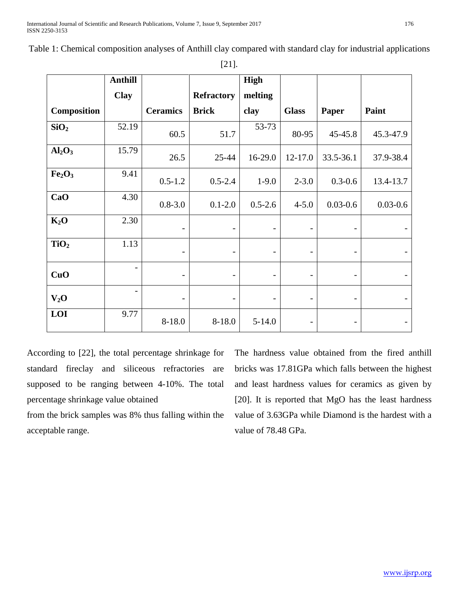|                                | <b>Anthill</b>           |                          |                          | <b>High</b>              |                              |                              |                          |
|--------------------------------|--------------------------|--------------------------|--------------------------|--------------------------|------------------------------|------------------------------|--------------------------|
|                                | <b>Clay</b>              |                          | <b>Refractory</b>        | melting                  |                              |                              |                          |
| <b>Composition</b>             |                          | <b>Ceramics</b>          | <b>Brick</b>             | clay                     | <b>Glass</b>                 | Paper                        | Paint                    |
| SiO <sub>2</sub>               | 52.19                    | 60.5                     | 51.7                     | 53-73                    | 80-95                        | 45-45.8                      | 45.3-47.9                |
| Al <sub>2</sub> O <sub>3</sub> | 15.79                    | 26.5                     | 25-44                    | 16-29.0                  | 12-17.0                      | 33.5-36.1                    | 37.9-38.4                |
| Fe <sub>2</sub> O <sub>3</sub> | 9.41                     | $0.5 - 1.2$              | $0.5 - 2.4$              | $1-9.0$                  | $2 - 3.0$                    | $0.3 - 0.6$                  | 13.4-13.7                |
| CaO                            | 4.30                     | $0.8 - 3.0$              | $0.1 - 2.0$              | $0.5 - 2.6$              | $4 - 5.0$                    | $0.03 - 0.6$                 | $0.03 - 0.6$             |
| $K_2O$                         | 2.30                     |                          | $\overline{\phantom{a}}$ | $\qquad \qquad$          |                              |                              |                          |
| TiO <sub>2</sub>               | 1.13                     |                          | $\overline{\phantom{a}}$ | $\qquad \qquad$          | $\qquad \qquad \blacksquare$ | $\qquad \qquad \blacksquare$ |                          |
| CuO                            | $\overline{\phantom{a}}$ | $\qquad \qquad -$        | $\overline{\phantom{a}}$ | $\overline{a}$           | -                            | $\overline{\phantom{0}}$     |                          |
| $V_2O$                         | $\overline{\phantom{0}}$ | $\overline{\phantom{a}}$ | -                        | $\overline{\phantom{a}}$ | $\overline{\phantom{a}}$     | $\overline{\phantom{a}}$     | $\overline{\phantom{a}}$ |
| LOI                            | 9.77                     | $8 - 18.0$               | $8 - 18.0$               | $5 - 14.0$               |                              |                              |                          |

Table 1: Chemical composition analyses of Anthill clay compared with standard clay for industrial applications

According to [22], the total percentage shrinkage for standard fireclay and siliceous refractories are supposed to be ranging between 4-10%. The total percentage shrinkage value obtained

from the brick samples was 8% thus falling within the acceptable range.

The hardness value obtained from the fired anthill bricks was 17.81GPa which falls between the highest and least hardness values for ceramics as given by [20]. It is reported that MgO has the least hardness value of 3.63GPa while Diamond is the hardest with a value of 78.48 GPa.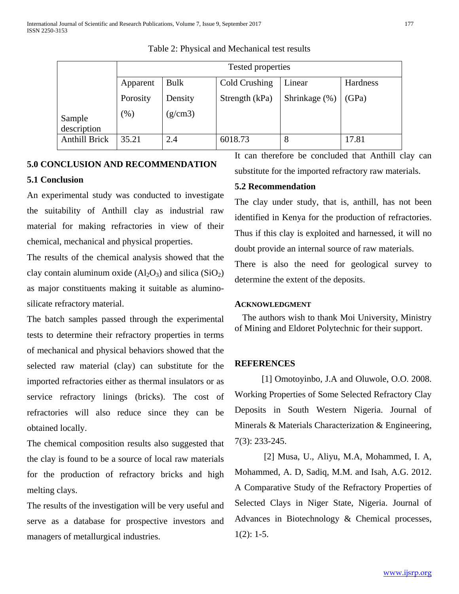|                      | Tested properties |             |                |               |          |  |  |  |  |  |
|----------------------|-------------------|-------------|----------------|---------------|----------|--|--|--|--|--|
|                      | Apparent          | <b>Bulk</b> | Cold Crushing  | Linear        | Hardness |  |  |  |  |  |
|                      | Porosity          | Density     | Strength (kPa) | Shrinkage (%) | (GPa)    |  |  |  |  |  |
| Sample               | (% )              | (g/cm3)     |                |               |          |  |  |  |  |  |
| description          |                   |             |                |               |          |  |  |  |  |  |
| <b>Anthill Brick</b> | 35.21             | 2.4         | 6018.73        | 8             | 17.81    |  |  |  |  |  |

Table 2: Physical and Mechanical test results

### **5.0 CONCLUSION AND RECOMMENDATION**

#### **5.1 Conclusion**

An experimental study was conducted to investigate the suitability of Anthill clay as industrial raw material for making refractories in view of their chemical, mechanical and physical properties.

The results of the chemical analysis showed that the clay contain aluminum oxide  $(A<sub>12</sub>O<sub>3</sub>)$  and silica  $(SiO<sub>2</sub>)$ as major constituents making it suitable as aluminosilicate refractory material.

The batch samples passed through the experimental tests to determine their refractory properties in terms of mechanical and physical behaviors showed that the selected raw material (clay) can substitute for the imported refractories either as thermal insulators or as service refractory linings (bricks). The cost of refractories will also reduce since they can be obtained locally.

The chemical composition results also suggested that the clay is found to be a source of local raw materials for the production of refractory bricks and high melting clays.

The results of the investigation will be very useful and serve as a database for prospective investors and managers of metallurgical industries.

It can therefore be concluded that Anthill clay can substitute for the imported refractory raw materials.

### **5.2 Recommendation**

The clay under study, that is, anthill, has not been identified in Kenya for the production of refractories. Thus if this clay is exploited and harnessed, it will no doubt provide an internal source of raw materials.

There is also the need for geological survey to determine the extent of the deposits.

### **ACKNOWLEDGMENT**

The authors wish to thank Moi University, Ministry of Mining and Eldoret Polytechnic for their support.

### **REFERENCES**

[1] Omotoyinbo, J.A and Oluwole, O.O. 2008. Working Properties of Some Selected Refractory Clay Deposits in South Western Nigeria. Journal of Minerals & Materials Characterization & Engineering, 7(3): 233-245.

[2] Musa, U., Aliyu, M.A, Mohammed, I. A, Mohammed, A. D, Sadiq, M.M. and Isah, A.G. 2012. A Comparative Study of the Refractory Properties of Selected Clays in Niger State, Nigeria. Journal of Advances in Biotechnology & Chemical processes,  $1(2): 1-5.$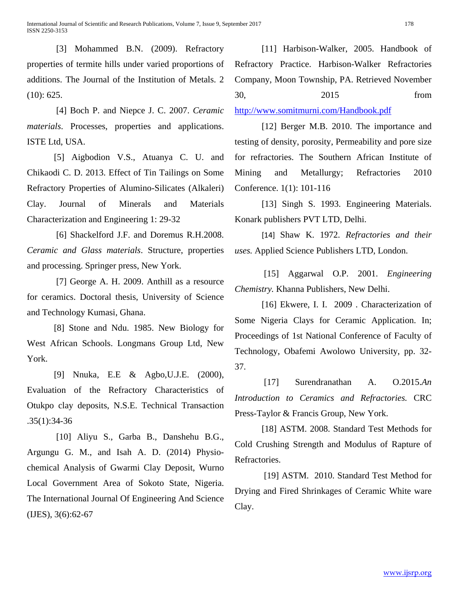[3] Mohammed B.N. (2009). Refractory properties of termite hills under varied proportions of additions. The Journal of the Institution of Metals. 2 (10): 625.

[4] Boch P. and Niepce J. C. 2007. *Ceramic materials*. Processes, properties and applications. ISTE Ltd, USA.

[5] Aigbodion V.S., Atuanya C. U. and Chikaodi C. D. 2013. Effect of Tin Tailings on Some Refractory Properties of Alumino-Silicates (Alkaleri) Clay. Journal of Minerals and Materials Characterization and Engineering 1: 29-32

[6] Shackelford J.F. and Doremus R.H.2008. *Ceramic and Glass materials*. Structure, properties and processing. Springer press, New York.

[7] George A. H. 2009. Anthill as a resource for ceramics. Doctoral thesis, University of Science and Technology Kumasi, Ghana.

[8] Stone and Ndu. 1985. New Biology for West African Schools. Longmans Group Ltd, New York.

[9] Nnuka, E.E & Agbo,U.J.E. (2000), Evaluation of the Refractory Characteristics of Otukpo clay deposits, N.S.E. Technical Transaction .35(1):34-36

[10] Aliyu S., Garba B., Danshehu B.G., Argungu G. M., and Isah A. D. (2014) Physiochemical Analysis of Gwarmi Clay Deposit, Wurno Local Government Area of Sokoto State, Nigeria. The International Journal Of Engineering And Science (IJES), 3(6):62-67

[11] Harbison-Walker, 2005. Handbook of Refractory Practice. Harbison-Walker Refractories Company, Moon Township, PA. Retrieved November 30, 2015 from

<http://www.somitmurni.com/Handbook.pdf>

[12] Berger M.B. 2010. The importance and testing of density, porosity, Permeability and pore size for refractories. The Southern African Institute of Mining and Metallurgy; Refractories 2010 Conference. 1(1): 101-116

[13] Singh S. 1993. Engineering Materials. Konark publishers PVT LTD, Delhi.

[14] Shaw K. 1972. *Refractories and their uses.* Applied Science Publishers LTD, London.

[15] Aggarwal O.P. 2001. *Engineering Chemistry.* Khanna Publishers, New Delhi.

[16] Ekwere, I. I. 2009. Characterization of Some Nigeria Clays for Ceramic Application. In; Proceedings of 1st National Conference of Faculty of Technology, Obafemi Awolowo University, pp. 32- 37.

[17] Surendranathan A. O.2015.*An Introduction to Ceramics and Refractories.* CRC Press*-*Taylor & Francis Group, New York.

[18] ASTM. 2008. Standard Test Methods for Cold Crushing Strength and Modulus of Rapture of Refractories.

[19] ASTM. 2010. Standard Test Method for Drying and Fired Shrinkages of Ceramic White ware Clay.